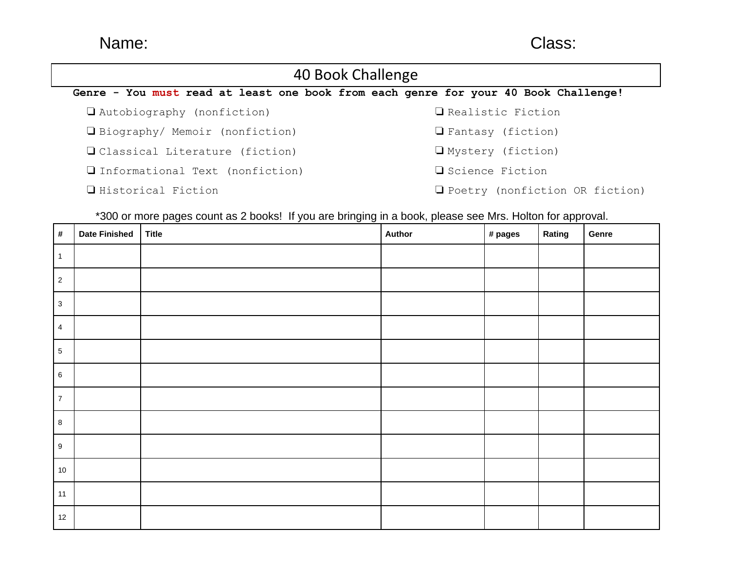# Name: Class:

### 40 Book Challenge **Genre - You must read at least one book from each genre for your 40 Book Challenge!** ❏ Autobiography (nonfiction) ❏ Biography/ Memoir (nonfiction) ❏ Classical Literature (fiction) ❏ Informational Text (nonfiction) ❏ Historical Fiction ❏ Realistic Fiction ❏ Fantasy (fiction) ❏ Mystery (fiction) ❏ Science Fiction ❏ Poetry (nonfiction OR fiction)

\*300 or more pages count as 2 books! If you are bringing in a book, please see Mrs. Holton for approval.

| #               | <b>Date Finished</b> | <b>Title</b> | Author | # pages | Rating | Genre |
|-----------------|----------------------|--------------|--------|---------|--------|-------|
| $\overline{1}$  |                      |              |        |         |        |       |
| $\overline{2}$  |                      |              |        |         |        |       |
| $\overline{3}$  |                      |              |        |         |        |       |
| $\overline{4}$  |                      |              |        |         |        |       |
| $5\phantom{.0}$ |                      |              |        |         |        |       |
| $6\phantom{.}6$ |                      |              |        |         |        |       |
| $\overline{7}$  |                      |              |        |         |        |       |
| 8               |                      |              |        |         |        |       |
| 9               |                      |              |        |         |        |       |
| 10              |                      |              |        |         |        |       |
| 11              |                      |              |        |         |        |       |
| 12              |                      |              |        |         |        |       |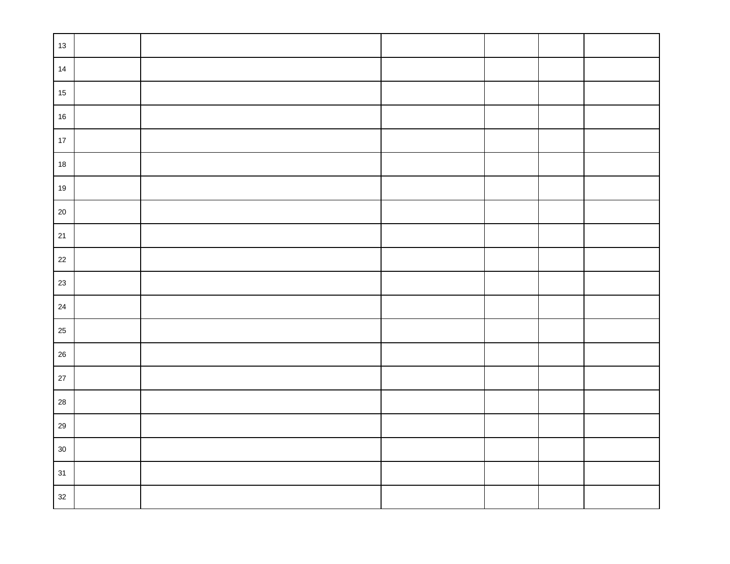| $13$       |  |  |  |
|------------|--|--|--|
| 14         |  |  |  |
| $15\,$     |  |  |  |
| $16\,$     |  |  |  |
| $17$       |  |  |  |
| $18\,$     |  |  |  |
| $19$       |  |  |  |
| 20         |  |  |  |
| $21$       |  |  |  |
| 22         |  |  |  |
| 23         |  |  |  |
| $24\,$     |  |  |  |
| 25         |  |  |  |
| 26         |  |  |  |
| $27\,$     |  |  |  |
| ${\bf 28}$ |  |  |  |
| 29         |  |  |  |
| $30\,$     |  |  |  |
| 31         |  |  |  |
| 32         |  |  |  |